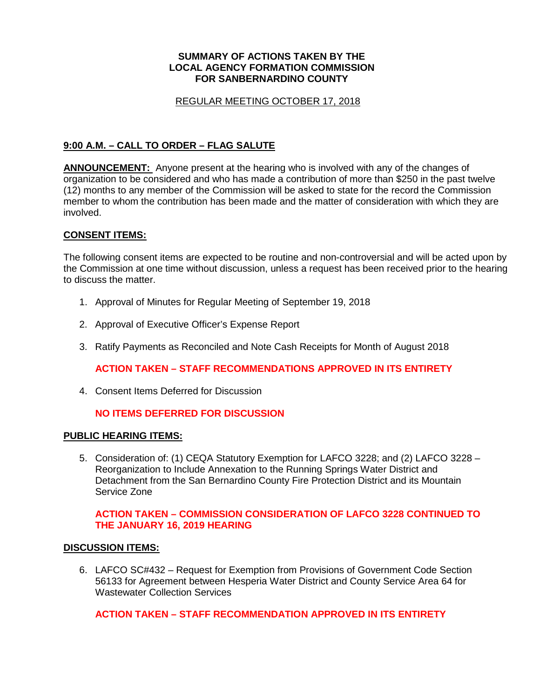### **SUMMARY OF ACTIONS TAKEN BY THE LOCAL AGENCY FORMATION COMMISSION FOR SANBERNARDINO COUNTY**

### REGULAR MEETING OCTOBER 17, 2018

## **9:00 A.M. – CALL TO ORDER – FLAG SALUTE**

**ANNOUNCEMENT:** Anyone present at the hearing who is involved with any of the changes of organization to be considered and who has made a contribution of more than \$250 in the past twelve (12) months to any member of the Commission will be asked to state for the record the Commission member to whom the contribution has been made and the matter of consideration with which they are involved.

### **CONSENT ITEMS:**

The following consent items are expected to be routine and non-controversial and will be acted upon by the Commission at one time without discussion, unless a request has been received prior to the hearing to discuss the matter.

- 1. Approval of Minutes for Regular Meeting of September 19, 2018
- 2. Approval of Executive Officer's Expense Report
- 3. Ratify Payments as Reconciled and Note Cash Receipts for Month of August 2018

**ACTION TAKEN – STAFF RECOMMENDATIONS APPROVED IN ITS ENTIRETY**

4. Consent Items Deferred for Discussion

## **NO ITEMS DEFERRED FOR DISCUSSION**

### **PUBLIC HEARING ITEMS:**

5. Consideration of: (1) CEQA Statutory Exemption for LAFCO 3228; and (2) LAFCO 3228 – Reorganization to Include Annexation to the Running Springs Water District and Detachment from the San Bernardino County Fire Protection District and its Mountain Service Zone

### **ACTION TAKEN – COMMISSION CONSIDERATION OF LAFCO 3228 CONTINUED TO THE JANUARY 16, 2019 HEARING**

### **DISCUSSION ITEMS:**

6. LAFCO SC#432 – Request for Exemption from Provisions of Government Code Section 56133 for Agreement between Hesperia Water District and County Service Area 64 for Wastewater Collection Services

# **ACTION TAKEN – STAFF RECOMMENDATION APPROVED IN ITS ENTIRETY**